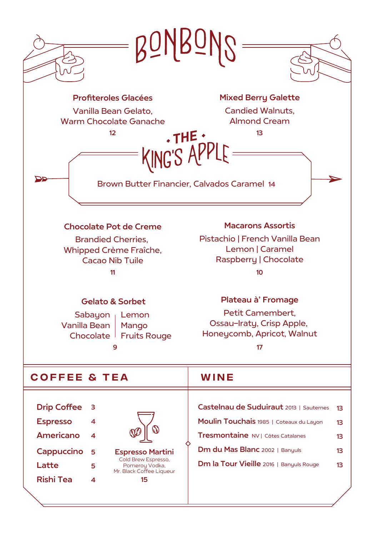